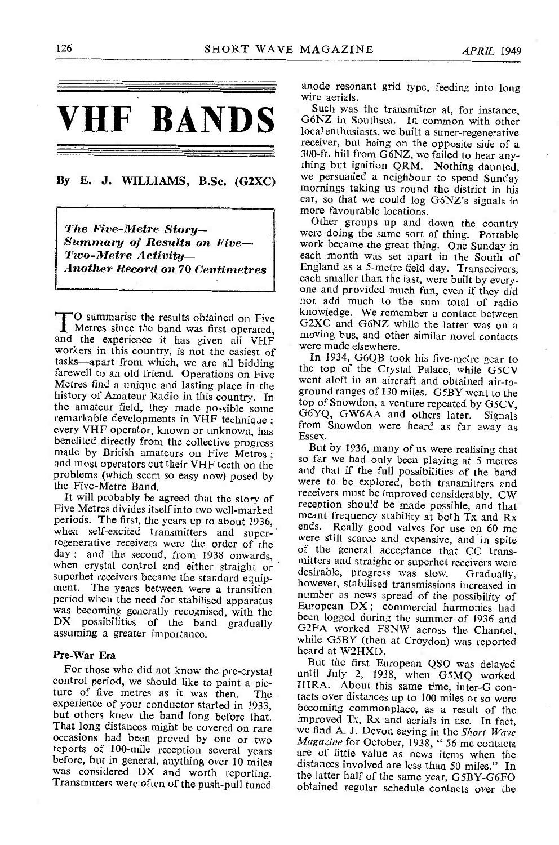

# By E. J. WILLIAMS, B.Sc. (G2XC)

The Five-Metre Story--<br>Summary of Results on Five--<br>Two-Metre Activity--Another Record on 70 Centimetres

and the experience it has given all VHF workers in this country, is not the easiest of tasks-apart from which, we are all bidding farewell to an old friend. Operations on Five Metres find a unique and lasting place in the serve about in an aircrait and obtained air-to-<br>history of Ameteur Padio in this country. In ground ranges of 130 miles. G5BY went to the history of Amateur Radio in this country. In the amateur field, they made possible some the amateur field, they made possible some remarkable developments in VHF technique ; every VHF operator, known or unknown, has resex. benefited directly from the collective progress made by British amateurs on Five Metres;<br>and most operators cut their VHF teeth on the so far we had only been playing at 5 metres problems (which seem so easy now) posed by the Five-Metre Band.

It will probably be agreed that the story of Five Metres divides itself into two well-marked periods. The first, the years up to about 1936, when self-excited transmitters and superregenerative regelvers were the order of the were still scarce and expensive, and in spite<br>regenerative receivers were the order of the general acceptance that CC transday ; and the second, from 1938 onwards, when crystal control and either straight or superhet receivers became the standard equipment. The years between were a transition<br>period when the need for stabilised apparatus period when the need for stabilised apparatus European DX; commercial harmonics had<br>was becoming generally recognised, with the heap logged during the gumman of 1996 and DX possibilities of the band gradually assuming a greater importance.

Pre-War Era<br>For those who did not know the pre-crystal For those who did not know the pre-crystal until July 2, 1938, when G5MQ worked<br>control period, we should like to paint a pic-<br>ture of five metres as it was then. The tacts over distances up to 100 miles or so were experience of your conductor started in 1933, becoming commonplace, as a result of the but others knew the band long before that. That long distances might be covered on rare<br>occasions had been proved by one or two *Magazine* for October, 1938, "56 mc contacts reports of 100-mile reception several years<br>before, but in general, anything over 10 miles was considered DX and worth reporting.<br>Transmitters were often of the push-pull tuned

anode resonant grid type, feeding into long wire aerials.

Such was the transmitter at, for instance, G6NZ in Southsea. In common with other local enthusiasts, we built a super -regenerative receiver, but being on the opposite side of a 300-ft. hill from G6NZ, we failed to hear anything but ignition QRM. Nothing daunted, we persuaded a neighbour to spend Sunday mornings taking us round the district in his car, so that we could log G6NZ's signals in more favourable locations.

TO summarise the results obtained on Five<br>Metres since the band was first operated,<br>metric hun and other diviles nearly applied that the latter was on a Other groups up and down the country were doing the same sort of thing. Portable work became the great thing. One Sunday in each month was set apart in the South of England as a 5 -metre field day. Transceivers, each smaller than the last, were built by everyone and provided much fun, even if they did not add much to the sum total of radio knowledge. We remember a contact between moving bus, and other similar novel contacts were made elsewhere.

In 1934, G6QB took his five -metre gear to the top of the Crystal Palace, while G5CV went aloft in an aircraft and obtained air-totop of Snowdon, a venture repeated by G5CV, G6YQ, GW6AA and others later. Signals from Snowdon were heard as far away as

But by 1936, many of us were realising that and that if the full possibilities of the band were to be explored, both transmitters and receivers must be improved considerably. CW reception should be made possible, and that meant frequency stability at both Tx and Rx ends. Really good valves for use on 60 mc mitters and straight or superhet receivers were desirable, progress was slow. Gradually, however, stabilised transmissions increased in number as news spread of the possibility of been logged during the summer of 1936 and G2FA worked F8NW across the Channel, while G5BY (then at Croydon) was reported heard at W2HXD.

But the first European QSO was delayed tacts over distances up to 100 miles or so were improved Tx, Rx and aerials in use. In fact, Magazine for October, 1938, " 56 me contacts are of little value as news items when the distances involved are less than 50 miles." In the latter half of the same year, GSBY-G6FO obtained regular schedule contacts over the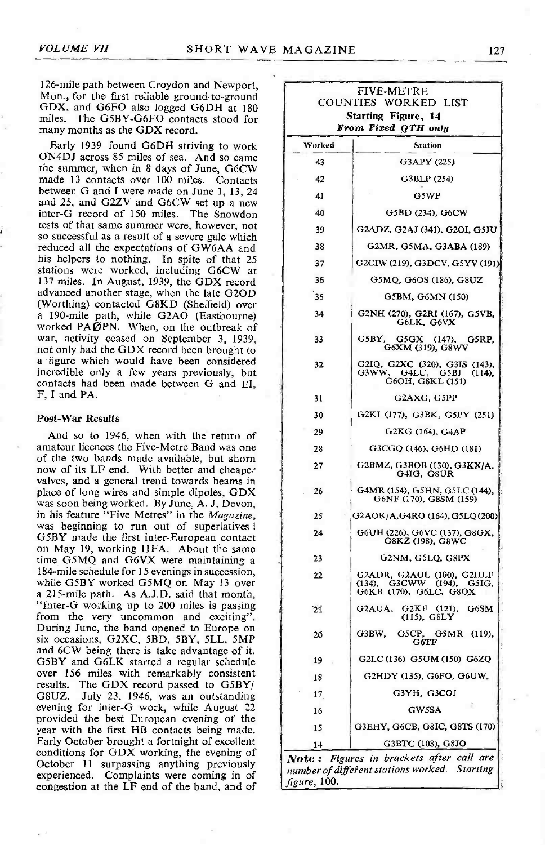126-mile path between Croydon and Newport, Mon., for the first reliable ground-to-ground GDX, and G6FO also logged G6DH at 180 miles. The G5BY-G6FO contacts stood for many months as the GDX record.

Early 1939 found G6DH striving to work ON4DJ across 85 miles of sea. And so came the summer, when in 8 days of June, G6CW made 13 contacts over 100 miles. Contacts between G and I were made on June 1, 13, 24 and 25, and G2ZV and G6CW set up a new inter-G record of 150 miles. The Snowdon tests of that same summer were, however, not so successful as a result of a severe gale which reduced all the expectations of GW6AA and his helpers to nothing. In spite of that 25 stations were worked, including G6CW at 137 miles. In August, 1939, the GDX record advanced another stage, when the late G2OD (Worthing) contacted G8KD (Sheffield) over (Worthing) contacted GBKD (Sheffield) over a 190 -mile path, while G2AO (Eastbourne) worked PAØPN. When, on the outbreak of war, activity ceased on September 3, 1939, not only had the GDX record been brought to a figure which would have been considered incredible only a few years previously, but contacts had been made between G and EI, F, I and PA.

#### Post-War Results

And so to 1946, when with the return of amateur licences the Five-Metre Band was one of the two bands made available, but shorn now of its LF end. With better and cheaper valves, and a general trend towards beams in place of long wires and simple dipoles, GDX was soon being worked. By June, A. J. Devon, in his feature "Five Metres" in the *Magazine*, was beginning to run out of superlatives! G5BY made the first inter-European contact on May 19, working IIFA. About the same time G5MQ and G6VX were maintaining a 184 -mile schedule for 15 evenings in succession, while G5BY worked G5MQ on May 13 over a 215-mile path. As A.J.D. said that month, "Inter -G working up to 200 miles is passing from the very uncommon and exciting". During June, the band opened to Europe on six occasions, G2XC, 5BD, 5BY, 5LL, 5MP and 6CW being there is take advantage of it. G5BY and G6LK started a regular schedule over 156 miles with remarkably consistent results. The GDX record passed to G5BY/ G8UZ. July 23, 1946, was an outstanding evening for inter -G work, while August 22 provided the best European evening of the year with the first HE contacts being made. Early October brought a fortnight of excellent conditions for GDX working, the evening of October 11 surpassing anything previously experienced. Complaints were coming in of congestion at the LF end of the band, and of

|        | <b>COUNTIES</b><br>WORKED LIST<br><b>Starting Figure, 14</b>                     |
|--------|----------------------------------------------------------------------------------|
|        | From Fixed QTH only                                                              |
| Worked | <b>Station</b>                                                                   |
| 43     | G3APY (225)                                                                      |
| 42     | G3BLP (254)                                                                      |
| 41     | G5WP                                                                             |
| 40     | G5BD (234), G6CW                                                                 |
| 39     | G2ADZ, G2AJ (341), G2OI, G5JU                                                    |
| 38     | G2MR, G5MA, G3ABA (189)                                                          |
| 37     | G2CIW (219), G3DCV, G5YV (191)                                                   |
| 36     | G5MQ, G6OS (186), G8UZ                                                           |
| 35     | G5BM, G6MN (150)                                                                 |
| 34     | G2NH (270), G2RI (167), G5VB, G6LK, G6VX                                         |
| 33     | G5BY, G5GX (147), G6XM (319), G8WV<br>G5RP,                                      |
| 32     | G2IQ, G2XC (320), G3IS (143), G3WW, G4LU, G5BJ (114),<br>G6OH, G8KL (151)        |
| 31     | G2AXG, G5PP                                                                      |
| 30     | G2KI (177), G3BK, G5PY (251)                                                     |
| 29     | G2KG (164), G4AP                                                                 |
| 28     | G3CGQ (146), G6HD (181)                                                          |
| 27     | G2BMZ, G3BOB (130), G3KX/A, G4IG, G8UR                                           |
| 26     | G4MR (154), G5HN, G5LC (144), G6NF (170), G8SM (159)                             |
| 25     | G2AOK/A,G4RO (164), G5LQ (200)                                                   |
| 24     | G6UH (226), G6VC (137), G8GX,<br>G8KZ (198), G8WC                                |
| 23     | G2NM, G5LQ, G8PX                                                                 |
| 22     | G2ADR, G2AOL (100), G2HLF<br>(134), G3CWW (194), G5IG,<br>G6KB (170), G6LC, G8QX |
| 21     | G2AUA,<br>G2KF (121), G6SM<br>(115), G8LY                                        |
| 20     | GSCP,<br>G3BW,<br>G5MR (119),<br>$_{\rm G6TF}$                                   |
| 19     | G2LC (136) G5UM (150) G6ZQ                                                       |
| 18     | G2HDY (135), G6FO, G6UW,                                                         |
| 17     | G3YH, G3COJ                                                                      |
| 16     | - 8<br>GW5SA                                                                     |
| 15     | G3EHY, G6CB, G8IC, G8TS (170)                                                    |
| 14     | G3BTC (108), G8JO                                                                |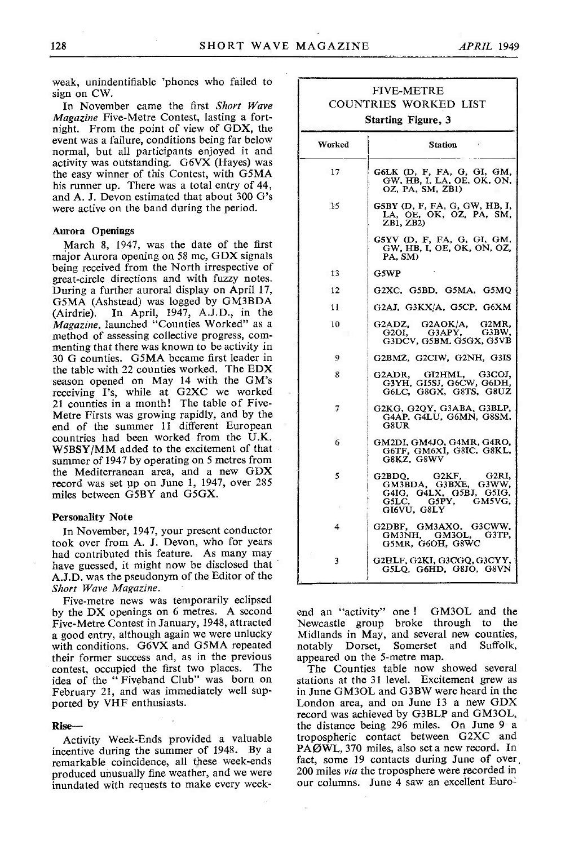weak, unindentifiable 'phones who failed to sign on CW.

In November came the first Short Wave Magazine Five-Metre Contest, lasting a fortnight. From the point of view of GDX, the event was a failure, conditions being far below normal, but all participants enjoyed it and<br>activity was outstanding. G6VX (Hayes) was the easy winner of this Contest, with G5MA his runner up. There was a total entry of 44, and A. J. Devon estimated that about 300 G's were active on the band during the period.

# Aurora Openings

March 8, 1947, was the date of the first major Aurora opening on 58 mc, GDX signals being received from the North irrespective of great -circle directions and with fuzzy notes. During a further auroral display on April 17, G5MA (Ashstead) was logged by GM3BDA<br>(Airdrie). In April, 1947, A.J.D., in the (Airdrie). In April, 1947, A.J.D., in the *Magazine*, launched "Counties Worked" as a method of assessing collective progress, com-<br>menting that there was known to be activity in 30 G counties. G5MA became first leader in the table with 22 counties worked. The EDX season opened on May 14 with the GM's receiving I's, while at G2XC we worked 21 counties in a month! The table of Five-<br>Metre Firsts was growing rapidly, and by the end of the summer 11 different European countries had been worked from the U.K.<br>W5BSY/MM added to the excitement of that summer of 1947 by operating on 5 metres from the Mediterranean area, and a new GDX record was set up on June 1, 1947, over 285 miles between G5BY and G5GX.

#### Personality Note

In November, 1947, your present conductor took over from A. J. Devon, who for years had contributed this feature. As many may have guessed, it might now be disclosed that A.J.D. was the pseudonym of the Editor of the Short Wave Magazine.

Five -metre news was temporarily eclipsed by the DX openings on 6 metres. A second Five -Metre Contest in January, 1948, attracted a good entry, although again we were unlucky with conditions. G6VX and G5MA repeated their former success and, as in the previous contest, occupied the first two places. The The Counties table now showed several idea of the "Fiveband Club" was born on stations at the 31 level. Excitement grew as February 21, and was immediately well supported by VHF enthusiasts.

Rise-

Activity Week -Ends provided a valuable incentive during the summer of 1948. By a remarkable coincidence, all these week-ends inundated with requests to make every week-

|                               | <b>FIVE-METRE</b><br><b>COUNTRIES WORKED LIST</b>                                                       |  |  |
|-------------------------------|---------------------------------------------------------------------------------------------------------|--|--|
| <b>Starting Figure, 3</b>     |                                                                                                         |  |  |
| Worked                        | <b>Station</b><br>$\epsilon$                                                                            |  |  |
| 17                            | G6LK (D, F, FA, G, GI, GM, GW, HB, I, LA, OE, OK, ON,<br>OZ, PA, SM, ZB1)                               |  |  |
| 15                            | G5BY (D, F, FA, G, GW, HB, I,<br>LA, OE, OK, OZ, PA, SM,<br>ZB1, ZB2)                                   |  |  |
|                               | G5YV (D, F, FA, G, GI, GM, GW, HB, I, OE, OK, ON, OZ,<br>PA, SM)                                        |  |  |
| <b>13</b>                     | G5WP                                                                                                    |  |  |
| -12                           | G2XC, G5BD, G5MA, G5MQ                                                                                  |  |  |
| 11                            | G2AJ, G3KX/A, G5CP, G6XM                                                                                |  |  |
| 10                            | G2ADZ, G2AOK/A, G2MR,<br>G3APY,<br>G3BW,<br>G2OI,<br>G3DCV, G5BM, G5GX, G5VB                            |  |  |
| 9                             | G2BMZ, G2CIW, G2NH, G3IS                                                                                |  |  |
| 8                             | G3COJ.<br>G2ADR.<br>GI2HML,<br>G3YH, GI5SJ, G6CW, G6DH,<br>G6LC, G8GX, G8TS, G8UZ                       |  |  |
| 7                             | G2KG, G2QY, G3ABA, G3BLP,<br>G4AP, G4LU, G6MN, G8SM,<br>G8UR                                            |  |  |
| 6                             | GM2DI, GM4JO, G4MR, G4RO,<br>G6TF, GM6XI, G8IC, G8KL,<br>G8KZ, G8WV                                     |  |  |
| 5                             | G2BDO.<br>G2KF.<br>G2RI.<br>GM3BDA, G3BXE, G3WW,<br>G4IG, G4LX, G5BJ, G5IG.<br>GM5VG,<br>G5LC,<br>G5PY, |  |  |
|                               | GI6VU, G8LY                                                                                             |  |  |
| 4                             | G2DBF, GM3AXO, G3CWW,<br>GM3NH, GM3OL,<br>G3TP,<br>G5MR, G6OH, G8WC                                     |  |  |
| $\left\{ \cdot \right\}$<br>3 | G2HLF, G2KI, G3CGQ, G3CYY,<br>G5LO. G6HD, G8JO, G8VN                                                    |  |  |

end an "activity" one ! GM3OL and the Newcastle group broke through to the Midlands in May, and several new counties, notably Dorset, Somerset and Suffolk, appeared on the 5-metre map.

The Counties table now showed several in June GM3OL and G3BW were heard in the London area, and on June 13 a new GDX record was achieved by G3BLP and GM3OL, the distance being 296 miles. On June 9 a tropospheric contact between G2XC and PAWL, 370 miles, also set a new record. In fact, some 19 contacts during June of over, 200 miles *via* the troposphere were recorded in our columns. June 4 saw an excellent Euro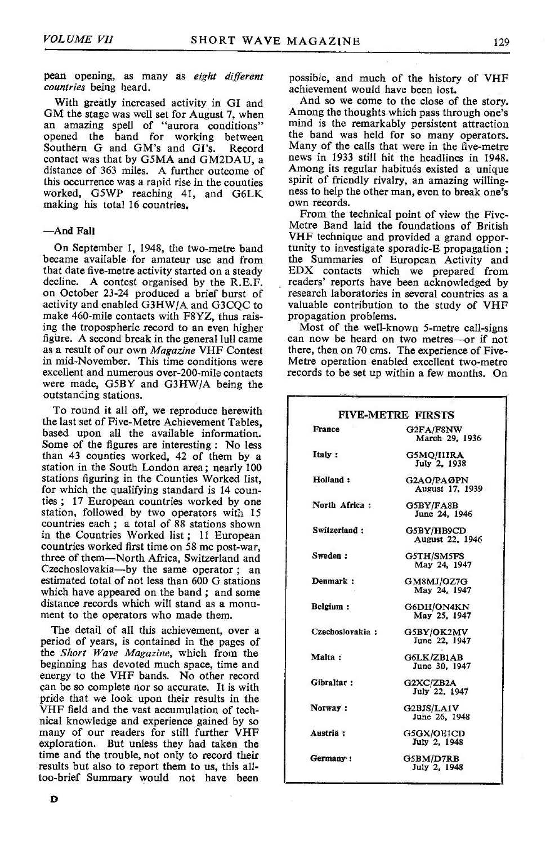pean opening, as many as eight different countries being heard.

With greatly increased activity in GI and GM the stage was well set for August 7, when an amazing spell of "aurora conditions" opened the band for working between the band was held for so many operators.<br>Southern G and GM's and GI's. Record Many of the calls that were in the five-metre Southern G and GM's and GI's. contact was that by G5MA and GM2DAU, a news in 1933 still hit the headlines in 1948.<br>distance of 363 miles. A further outcome of Among its regular habitués existed a unique this occurrence was a rapid rise in the counties spirit of friendly rivalry, an amazing willing-<br>worked. G5WP reaching 41 and G6LK ness to help the other man, even to break one's worked, G5WP reaching 41, and G6LK ness to help t<br>making his total 16 countries own records. making his total 16 countries.

### -And Fall

became available for amateur use and from that date five -metre activity started on a steady decline. A contest organised by the R.E.F. readers' reports have been acknowledged by on October 23-24 produced a brief burst of research laboratories in several countries as a activity and enabled G3HWJA and G3CQC to make 460-mile contacts with F8YZ, thus raising the tropospheric record to an even higher<br>figure. A second break in the general lull came as a result of our own *Magazine* VHF Contest there, then on 70 cms. The experience of Five-<br>in mid-November. This time conditions were Metre operation enabled excellent two-metre excellent and numerous over-200-mile contacts were made, G5BY and G3HW/A being the outstanding stations.

To round it all off, we reproduce herewith the last set of Five -Metre Achievement Tables, based upon all the available information. Some of the figures are interesting : No less than 43 counties worked, 42 of them by a station in the South London area; nearly 100 stations figuring in the Counties Worked list, for which the qualifying standard is 14 counties ; 17 European countries worked by one station, followed by two operators with 15 countries each ; a total of 88 stations shown in the Countries Worked list; 11 European countries worked first time on 58 me post-war, three of them-North Africa, Switzerland and Czechoslovakia-by the same operator ; an estimated total of not less than 600 G stations which have appeared on the band ; and some distance records which will stand as a monu-<br>ment to the operators who made them.

The detail of all this achievement, over a period of years, is contained in the pages of the Short Wave Magazine, which from the beginning has devoted much space, time and energy to the VHF bands. No other record can be so complete nor so accurate. It is with pride that we look upon their results in the VHF field and the vast accumulation of tech-<br>nical knowledge and experience gained by so many of our readers for still further VHF exploration. But unless they had taken the time and the trouble, not only to record their<br>results but also to report them to us, this alltoo-brief Summary would not have been

possible, and much of the history of VHF achievement would have been lost.

And so we come to the close of the story. Among the thoughts which pass through one's mind is the remarkably persistent attraction the band was held for so many operators. news in 1933 still hit the headlines in 1948. Among its of friendly rivalry, an amazing willing-<br>ness to help the other man, even to break one's<br>own records.<br>From the technical point of view the Five-

On September 1, 1948, the two-metre band tunity to investigate sporadic-E propagation; Metre Band laid the foundations of British<br>VHF technique and provided a grand opporthe Summaries of European Activity and EDX contacts which we prepared from readers' reports have been acknowledged by valuable contribution to the study of VHF propagation problems.<br>Most of the well-known 5-metre call-signs

can now be heard on two metres-or if not there, then on 70 cms. The experience of Fiverecords to be set up within a few months. On

| <b>FIVE-METRE FIRSTS</b> |                               |  |  |  |
|--------------------------|-------------------------------|--|--|--|
| France                   | G2FA/F8NW<br>March 29, 1936   |  |  |  |
| Italy:                   | G5MQ/I1IRA<br>July 2, 1938    |  |  |  |
| Holland:                 | G2AO/PAØPN<br>August 17, 1939 |  |  |  |
| North Africa:            | G5BY/FA8B<br>June 24, 1946    |  |  |  |
| Switzerland:             | G5BY/HB9CD<br>August 22, 1946 |  |  |  |
| Sweden:                  | G5TH/SM5FS<br>May 24, 1947    |  |  |  |
| Denmark:                 | GM8MJ/OZ7G<br>May 24, 1947    |  |  |  |
| Belgium:                 | G6DH/ON4KN<br>May 25, 1947    |  |  |  |
| Czechoslovakia:          | G5BY/OK2MV<br>June 22, 1947   |  |  |  |
| Malta:                   | G6LK/ZB1AB<br>June 30, 1947   |  |  |  |
| Gibraltar:               | G2XC/ZB2A<br>July 22, 1947    |  |  |  |
| Norway:                  | G2BJS/LA1V<br>June 26, 1948   |  |  |  |
| Austria :                | G5GX/OE1CD<br>July 2, 1948    |  |  |  |
| Germany:                 | G5BM/D7RB<br>July 2, 1948     |  |  |  |
|                          |                               |  |  |  |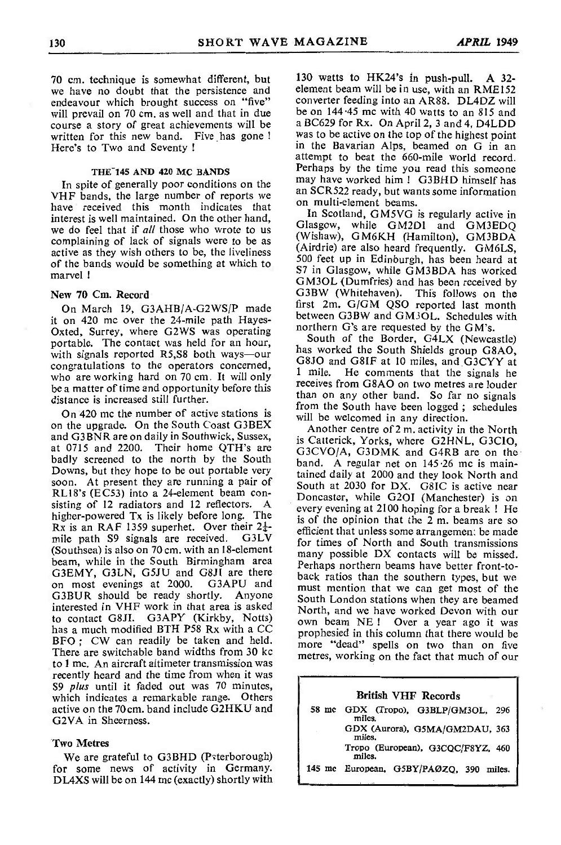70 cm. technique is somewhat different, but we have no doubt that the persistence and endeavour which brought success on "five"<br>will prevail on 70 cm, as well and that in due course a story of great achievements will be written for this new band. Five has gone ! Here's to Two and Seventy !

#### THE 145 AND 420 MC BANDS

In spite of generally poor conditions on the VHF bands, the large number of reports we VHF bands, the large number of reports we on multi-element beams. interest is well maintained. On the other hand, we do feel that if *all* those who wrote to us complaining of lack of signals were to be as active as they wish others to be, the liveliness of the bands would be something at which to marvel !

# New 70 Cm. Record

On March 19, G3AHB/A-G2WS/P made it on 420 mc over the 24-mile path Hayes-Oxted, Surrey, where G2WS was operating portable. The contact was held for an hour, with signals reported R5,S8 both ways-our congratulations to the operators concerned,  $\frac{0.000 \text{ m}}{1 \text{ mile}}$ who are working hard on 70 cm. It will only be a matter of time and opportunity before this distance is increased still further.

On 420 mc the number of active stations is on the upgrade. On the South Coast G3BEX and G3BNR are on daily in Southwick, Sussex, at 0715 and 2200. Their home OTH's are badly screened to the north by the South Downs, but they hope to be out portable very<br>soon. At present they are running a pair of<br>RL18's (EC53) into a 24-element beam con-<br>Despite the CN. G8IC is active near-<br> $\frac{1}{2}$ sisting of 12 radiators and 12 reflectors. A every evening at 2100 hoping for a break ! He higher -powered Tx is likely before long. The Rx is an RAF 1359 superhet. Over their  $2\frac{1}{4}$ - $\frac{1}{2}$  mile path S9 signals are received. G3LV for times of North and South transmissions (Southsea) is also on 70 cm. with an 18-element<br>beam, while in the South Birmingham area G3EMY, G3LN, G5JU and G8JI are there<br>on most evenings at 2000. G3APU and GBLMT, GBLN, GBLN and GBL are lield back ratios than the southern types, but we<br>on most evenings at 2000. G3APU and must mention that we can get most of the G3BUR should be ready shortly. Anyone interested in VHF work in that area is asked<br>North, and we have worked Devon with our to contact G8JI. G3APY (Kirkby, Notts) has a much modified BTH P58 Rx with a CC prophesied in this column that there would be BFO ; CW can readily be taken and held. There are switchable band widths from 30 kc<br>to 1 mc. An aircraft altimeter transmission was recently heard and the time from when it was S9 plus until it faded out was 70 minutes, which indicates a remarkable range. Others active on the 70 cm. band include G2HKU and G2VA in Sheerness.

# Two Metres

We are grateful to G3BHD (Paterborough) for some news of activity in Germany. DL4XS will be on 144 mc (exactly) shortly with 130 watts to HK24's in push-pull. A 32-<br>element beam will be in use, with an RME152 converter feeding into an AR88. DL4DZ will be on 144.45 mc with 40 watts to an 815 and a BC629 for Rx. On April 2, 3 and 4, D4LDD was to be active on the top of the highest point<br>in the Bavarian Alps, beamed on G in an attempt to beat the 660-mile world record.<br>Perhaps by the time you read this someone may have worked him! G3BHD himself has an SCR522 ready, but wants some information

In Scotland, GM5VG is regularly active in Glasgow, while GM2DI and GM3EDQ (Wishaw), GM6KH (Hamilton), GM3BDA (Airdrie) are also heard frequently. GM6LS, 500 feet up in Edinburgh, has been heard at S7 in Glasgow, while GM3BDA has worked GM3OL (Dumfries) and has been received by G3BW (Whitehaven). This follows on the first 2m. G/GM QSO reported last month between G3BW and GM3OL. Schedules with northern G's are requested by the GM's.

South of the Border, G4LX (Newcastle) has worked the South Shields group G8AO, G8JO and G8IF at 10 miles, and G3CYY at He comments that the signals he receives from G8AO on two metres are louder than on any other band. So far no signals from the South have been logged ; schedules will be welcomed in any direction.

Another centre of 2 m. activity in the North is Catterick, Yorks, where G2HNL, G3C1O, G3CVO/A, G3DMK and G4RB are on the band. A regular net on 145.26 mc is maintained daily at 2000 and they look North and Doncaster, while G2OI (Manchester) is on is of the opinion that the 2 m. beams are so for times of North and South transmissions many possible DX contacts will be missed. Perhaps northern beams have better front-to-<br>back ratios than the southern types, but we<br>must mention that we can get most of the South London stations when they are beamed own beam NE ! Over a year ago it was more "dead" spells on two than on five metres, working on the fact that much of our

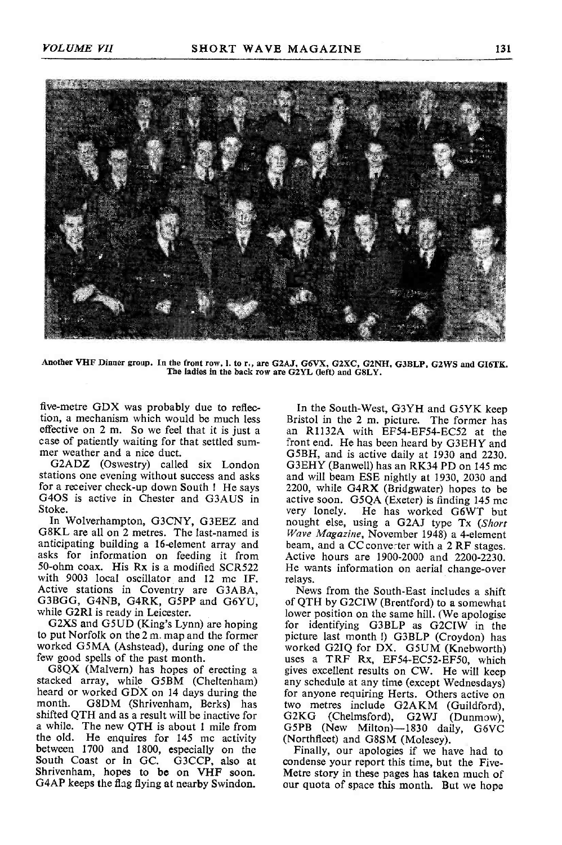

Another VHF Dinner group. In the front row, 1. to r., are G2AJ, G6VX, G2XC, G2NH, G3BLP, G2WS and GI6TK.<br>The ladies in the back row are G2YL (left) and GBLY.

five -metre GDX was probably due to reflection, a mechanism which would be much less<br>effective on 2 m. So we feel that it is just a case of patiently waiting for that settled sum-<br>mer weather and a nice duct.

G2ADZ (Oswestry) called six London stations one evening without success and asks and will beam ESE nightly at 1930, 2030 and for a receiver check-up down South ! He says Stoke.

In Wolverhampton, G3CNY, G3EEZ and G8KL are all on 2 metres. The last-named is anticipating building a 16 -element array and asks for information on feeding it from 50-ohm coax. His Rx is a modified SCR522 He wa<br>with 9003 local oscillator and 12 mc IF. relays. with 9003 local oscillator and 12 me IF. Active stations in Coventry are G3ABA, G3BGG, G4NB, G4RK, GSPP and G6YU, while G2RI is ready in Leicester.<br>G2XS and G5UD (King's Lynn) are hoping

to put Norfolk on the 2 m. map and the former worked G5MA (Ashstead), during one of the few good spells of the past month.

G8QX (Malvern) has hopes of erecting a stacked array, while G5BM (Cheltenham) heard or worked GDX on 14 days during the for anyone requiring Herts. Others active on month. G8DM (Shrivenham. Berks) has two metres include G2AKM (Guildford). G8DM (Shrivenham, Berks) has shifted QTH and as a result will be inactive for a while. The new QTH is about 1 mile from the old. He enquires for 145 me activity the old. He enquires for 145 mc activity (Northfleet) and G8SM (Molesey).<br>between 1700 and 1800, especially on the Finally, our apologies if we ha South Coast or in GC. G3CCP, also at condense your report this time, but the Five-<br>Shrivenham, hopes to be on VHF soon. Metre story in these pages has taken much of G4AP keeps the flag flying at nearby Swindon.

G4OS is active in Chester and G3AUS in active soon. G5QA (Exeter) is finding 145 mc<br>Stoke. The has worked G6WT but In the South-West, G3YH and G5YK keep<br>Bristol in the 2 m. picture. The former has<br>an R1132A with EF54-EF54-EC52 at the front end. He has been heard by G3EHY and G5BH, and is active daily at 1930 and 2230. G3EHY (Banwell) has an RK34 PD on 145 mc 2200, while G4RX (Bridgwater) hopes to be active soon. G5QA (Exeter) is finding 145 mc nought else, using a G2AJ type Tx (Short Wave Magazine, November 1948) a 4 -element beam, and a CC converter with a 2 RF stages. Active hours are 1900-2000 and 2200-2230. He wants information on aerial change-over

News from the South -East includes a shift of QTH by G2CIW (Brentford) to a somewhat lower position on the same hill. (We apologise for identifying G3BLP as G2CIW in the picture last month !) G3BLP (Croydon) has worked G21Q for DX. G5UM (Knebworth) uses a TRF Rx, EF54-EC52-EF50, which gives excellent results on CW. He will keep any schedule at any time (except Wednesdays) two metres include G2AKM (Guildford), G2KG (Chelmsford), G2WJ (Dunmow), G5PB (New Milton)-1830 daily, G6VC

Finally, our apologies if we have had to Metre story in these pages has taken much of our quota of space this month. But we hope